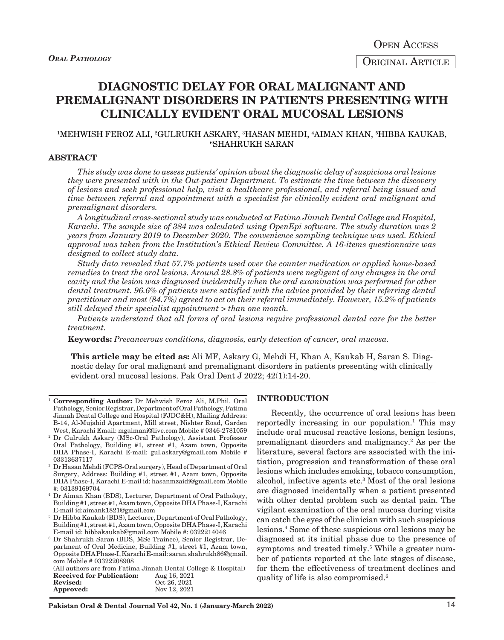ORIGINAL ARTICLE

# **DIAGNOSTIC DELAY FOR ORAL MALIGNANT AND PREMALIGNANT DISORDERS IN PATIENTS PRESENTING WITH CLINICALLY EVIDENT ORAL MUCOSAL LESIONS**

## 1 MEHWISH FEROZ ALI, 2 GULRUKH ASKARY, 3 HASAN MEHDI, 4 AIMAN KHAN, 5 HIBBA KAUKAB, 6 SHAHRUKH SARAN

#### **ABSTRACT**

*This study was done to assess patients' opinion about the diagnostic delay of suspicious oral lesions they were presented with in the Out-patient Department. To estimate the time between the discovery of lesions and seek professional help, visit a healthcare professional, and referral being issued and time between referral and appointment with a specialist for clinically evident oral malignant and premalignant disorders.* 

*A longitudinal cross-sectional study was conducted at Fatima Jinnah Dental College and Hospital, Karachi. The sample size of 384 was calculated using OpenEpi software. The study duration was 2 years from January 2019 to December 2020. The convenience sampling technique was used. Ethical approval was taken from the Institution's Ethical Review Committee. A 16-items questionnaire was designed to collect study data.*

*Study data revealed that 57.7% patients used over the counter medication or applied home-based remedies to treat the oral lesions. Around 28.8% of patients were negligent of any changes in the oral cavity and the lesion was diagnosed incidentally when the oral examination was performed for other dental treatment. 96.6% of patients were satisfied with the advice provided by their referring dental practitioner and most (84.7%) agreed to act on their referral immediately. However, 15.2% of patients still delayed their specialist appointment > than one month.*

*Patients understand that all forms of oral lesions require professional dental care for the better treatment.*

**Keywords:** *Precancerous conditions, diagnosis, early detection of cancer, oral mucosa.*

**This article may be cited as:** Ali MF, Askary G, Mehdi H, Khan A, Kaukab H, Saran S. Diagnostic delay for oral malignant and premalignant disorders in patients presenting with clinically evident oral mucosal lesions. Pak Oral Dent J 2022; 42(1):14-20.

- <sup>1</sup> **Corresponding Author:** Dr Mehwish Feroz Ali, M.Phil. Oral Pathology, Senior Registrar, Department of Oral Pathology, Fatima Jinnah Dental College and Hospital (FJDC&H), Mailing Address: B-14, Al-Mujahid Apartment, Mill street, Nishter Road, Garden West, Karachi Email: mgalmani@live.com Mobile # 0346-2781059
- <sup>2</sup> Dr Gulrukh Askary (MSc-Oral Pathology), Assistant Professor Oral Pathology, Building #1, street #1, Azam town, Opposite DHA Phase-I, Karachi E-mail: gul.askary@gmail.com Mobile # 03313637117
- <sup>3</sup> Dr Hasan Mehdi (FCPS-Oral surgery), Head of Department of Oral Surgery, Address: Building #1, street #1, Azam town, Opposite DHA Phase-I, Karachi E-mail id: hasanmzaidi@gmail.com Mobile #: 03139169704
- <sup>4</sup> Dr Aiman Khan (BDS), Lecturer, Department of Oral Pathology, Building #1, street #1, Azam town, Opposite DHA Phase-I, Karachi E-mail id:aimank1821@gmail.com
- <sup>5</sup> Dr Hibba Kaukab (BDS), Lecturer, Department of Oral Pathology, Building #1, street #1, Azam town, Opposite DHA Phase-I, Karachi E-mail id: hibbakaukab@gmail.com Mobile #: 0322214046
- <sup>6</sup> Dr Shahrukh Saran (BDS, MSc Trainee), Senior Registrar, Department of Oral Medicine, Building #1, street #1, Azam town, Opposite DHA Phase-I, Karachi E-mail: saran.shahrukh86@gmail. com Mobile # 03322208908

(All authors are from Fatima Jinnah Dental College & Hospital)<br>Received for Publication: Aug 16, 2021 **Received for Publication:**<br>Revised: Oct 26, 2021<br>Nov 12, 2021 **Approved:** 

#### **INTRODUCTION**

Recently, the occurrence of oral lesions has been reportedly increasing in our population.<sup>1</sup> This may include oral mucosal reactive lesions, benign lesions, premalignant disorders and malignancy.<sup>2</sup> As per the literature, several factors are associated with the initiation, progression and transformation of these oral lesions which includes smoking, tobacco consumption, alcohol, infective agents etc.3 Most of the oral lesions are diagnosed incidentally when a patient presented with other dental problem such as dental pain. The vigilant examination of the oral mucosa during visits can catch the eyes of the clinician with such suspicious lesions.4 Some of these suspicious oral lesions may be diagnosed at its initial phase due to the presence of symptoms and treated timely.<sup>5</sup> While a greater number of patients reported at the late stages of disease, for them the effectiveness of treatment declines and quality of life is also compromised.6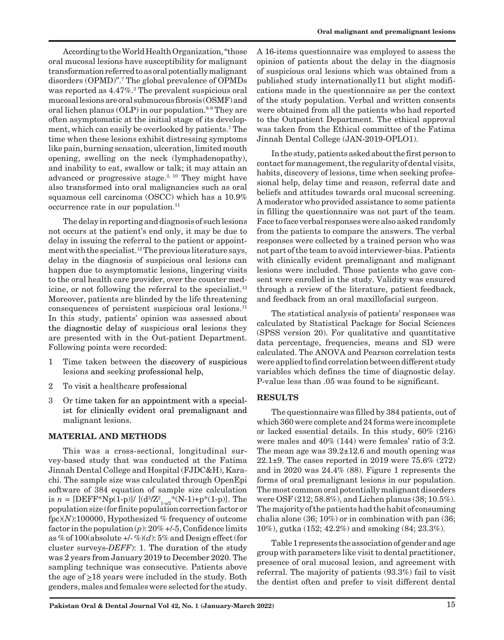According to the World Health Organization, "those oral mucosal lesions have susceptibility for malignant transformation referred to as oral potentially malignant disorders (OPMD)".7 The global prevalence of OPMDs was reported as 4.47%.3 The prevalent suspicious oral mucosal lesions are oral submucous fibrosis (OSMF) and oral lichen planus  $(OLP)$  in our population.<sup>8-9</sup> They are often asymptomatic at the initial stage of its development, which can easily be overlooked by patients.7 The time when these lesions exhibit distressing symptoms like pain, burning sensation, ulceration, limited mouth opening, swelling on the neck (lymphadenopathy), and inability to eat, swallow or talk; it may attain an advanced or progressive stage. $3, 10$  They might have also transformed into oral malignancies such as oral squamous cell carcinoma (OSCC) which has a 10.9% occurrence rate in our population.<sup>11</sup>

The delay in reporting and diagnosis of such lesions not occurs at the patient's end only, it may be due to delay in issuing the referral to the patient or appointment with the specialist.12 The previous literature says, delay in the diagnosis of suspicious oral lesions can happen due to asymptomatic lesions, lingering visits to the oral health care provider, over the counter medicine, or not following the referral to the specialist.<sup>13</sup> Moreover, patients are blinded by the life threatening consequences of persistent suspicious oral lesions.11 In this study, patients' opinion was assessed about the diagnostic delay of suspicious oral lesions they are presented with in the Out-patient Department. Following points were recorded:

- 1 Time taken between the discovery of suspicious lesions and seeking professional help,
- 2 To visit a healthcare professional
- 3 Or time taken for an appointment with a specialist for clinically evident oral premalignant and malignant lesions.

## **MATERIAL AND METHODS**

This was a cross-sectional, longitudinal survey-based study that was conducted at the Fatima Jinnah Dental College and Hospital (FJDC&H), Karachi. The sample size was calculated through OpenEpi software of 384 equation of sample size calculation is  $n = [\text{DEFF*Np}(1-p)] / [(d^2/Z_{1-\alpha/2}^2*(N-1)+p^*(1-p)].$  The population size (for finite population correction factor or fpc)(*N*):100000, Hypothesized % frequency of outcome factor in the population  $(p)$ : 20% +/-5, Confidence limits as % of 100(absolute  $+/-$ %)(d): 5% and Design effect (for cluster surveys-*DEFF*): 1. The duration of the study was 2 years from January 2019 to December 2020. The sampling technique was consecutive. Patients above the age of  $\geq$ 18 years were included in the study. Both genders, males and females were selected for the study.

A 16-items questionnaire was employed to assess the opinion of patients about the delay in the diagnosis of suspicious oral lesions which was obtained from a published study internationally11 but slight modifications made in the questionnaire as per the context of the study population. Verbal and written consents were obtained from all the patients who had reported to the Outpatient Department. The ethical approval was taken from the Ethical committee of the Fatima Jinnah Dental College (JAN-2019-OPLO1).

In the study, patients asked about the first person to contact for management, the regularity of dental visits, habits, discovery of lesions, time when seeking professional help, delay time and reason, referral date and beliefs and attitudes towards oral mucosal screening. A moderator who provided assistance to some patients in filling the questionnaire was not part of the team. Face to face verbal responses were also asked randomly from the patients to compare the answers. The verbal responses were collected by a trained person who was not part of the team to avoid interviewer-bias. Patients with clinically evident premalignant and malignant lesions were included. Those patients who gave consent were enrolled in the study. Validity was ensured through a review of the literature, patient feedback, and feedback from an oral maxillofacial surgeon.

The statistical analysis of patients' responses was calculated by Statistical Package for Social Sciences (SPSS version 20). For qualitative and quantitative data percentage, frequencies, means and SD were calculated. The ANOVA and Pearson correlation tests were applied to find correlation between different study variables which defines the time of diagnostic delay. P-value less than .05 was found to be significant.

# **RESULTS**

The questionnaire was filled by 384 patients, out of which 360 were complete and 24 forms were incomplete or lacked essential details. In this study, 60% (216) were males and 40% (144) were females' ratio of 3:2. The mean age was 39.2±12.6 and mouth opening was 22.1±9. The cases reported in 2019 were 75.6% (272) and in 2020 was 24.4% (88). Figure 1 represents the forms of oral premalignant lesions in our population. The most common oral potentially malignant disorders were OSF (212; 58.8%), and Lichen planus (38; 10.5%). The majority of the patients had the habit of consuming chalia alone (36; 10%) or in combination with pan (36; 10%), gutka (152; 42.2%) and smoking (84; 23.3%).

Table 1 represents the association of gender and age group with parameters like visit to dental practitioner, presence of oral mucosal lesion, and agreement with referral. The majority of patients (93.3%) fail to visit the dentist often and prefer to visit different dental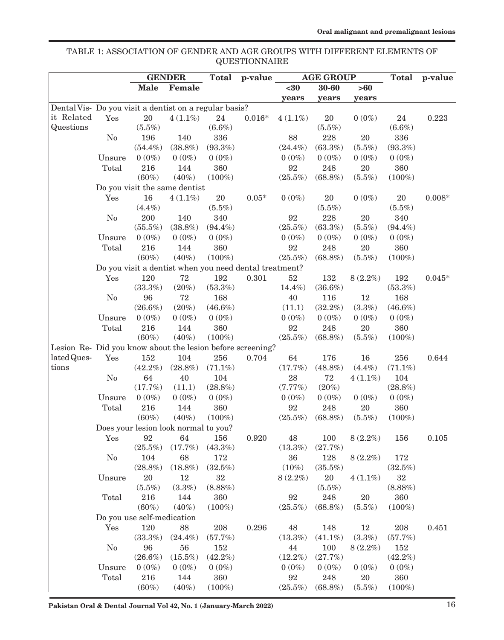TABLE 1: ASSOCIATION OF GENDER AND AGE GROUPS WITH DIFFERENT ELEMENTS OF QUESTIONNAIRE

| $30 - 60$<br><b>Male</b><br>Female<br>$30$<br>>60<br>years<br>years<br>years<br>Dental Vis- Do you visit a dentist on a regular basis?<br>it Related<br>20<br>Yes<br>$4(1.1\%)$<br>24<br>$0.016*$<br>20<br>$0(0\%)$<br>24<br>0.223<br>$4(1.1\%)$<br>Questions<br>$(5.5\%)$<br>$(6.6\%)$<br>$(5.5\%)$<br>$(6.6\%)$<br>88<br>196<br>140<br>336<br>228<br>$20\,$<br>336<br>N <sub>0</sub><br>$(63.3\%)$<br>$(54.4\%)$<br>$(38.8\%)$<br>$(93.3\%)$<br>$(5.5\%)$<br>$(93.3\%)$<br>$(24.4\%)$<br>$0(0\%)$<br>$0(0\%)$<br>$0(0\%)$<br>$0(0\%)$<br>$0(0\%)$<br>$0(0\%)$<br>$0(0\%)$<br>Unsure<br>216<br>$20\,$<br>Total<br>144<br>360<br>92<br>248<br>360<br>$(60\%)$<br>$(40\%)$<br>$(100\%)$<br>$(25.5\%)$<br>$(68.8\%)$<br>$(5.5\%)$<br>$(100\%)$<br>Do you visit the same dentist<br>16<br>$20\,$<br>$0.05*$<br>$0(0\%)$<br>20<br>$0(0\%)$<br>$20\,$<br>$0.008*$<br>Yes<br>$4(1.1\%)$<br>$(4.4\%)$<br>$(5.5\%)$<br>$(5.5\%)$<br>$(5.5\%)$<br>200<br>140<br>340<br>92<br>228<br>20<br>340<br>N <sub>0</sub><br>$(55.5\%)$<br>$(38.8\%)$<br>$(94.4\%)$<br>$(25.5\%)$<br>$(63.3\%)$<br>$(5.5\%)$<br>$(94.4\%)$<br>$0(0\%)$<br>$0(0\%)$<br>$0(0\%)$<br>$0(0\%)$<br>$0(0\%)$<br>$0(0\%)$<br>$0(0\%)$<br>Unsure<br>216<br>360<br>92<br>20<br>360<br>Total<br>144<br>248<br>$(60\%)$<br>$(40\%)$<br>$(100\%)$<br>$(25.5\%)$<br>$(68.8\%)$<br>$(5.5\%)$<br>$(100\%)$<br>Do you visit a dentist when you need dental treatment?<br>$52\,$<br>120<br>72<br>192<br>0.301<br>132<br>192<br>Yes<br>$8(2.2\%)$<br>$0.045*$<br>$(20\%)$<br>$(53.3\%)$<br>$(33.3\%)$<br>14.4%)<br>$(36.6\%)$<br>$(53.3\%)$<br>No<br>96<br>72<br>168<br>40<br>116<br>12<br>168<br>$(20\%)$<br>$(3.3\%)$<br>$(26.6\%)$<br>(11.1)<br>$(32.2\%)$<br>$(46.6\%)$<br>$(46.6\%)$<br>Unsure<br>$0(0\%)$<br>$0(0\%)$<br>$0(0\%)$<br>$0(0\%)$<br>$0(0\%)$<br>$0(0\%)$<br>$0(0\%)$<br>216<br>144<br>360<br>92<br>248<br>20<br>360<br>Total<br>$(60\%)$<br>$(40\%)$<br>$(100\%)$<br>$(25.5\%)$<br>$(68.8\%)$<br>$(5.5\%)$<br>$(100\%)$<br>Lesion Re- Did you know about the lesion before screening? |
|-----------------------------------------------------------------------------------------------------------------------------------------------------------------------------------------------------------------------------------------------------------------------------------------------------------------------------------------------------------------------------------------------------------------------------------------------------------------------------------------------------------------------------------------------------------------------------------------------------------------------------------------------------------------------------------------------------------------------------------------------------------------------------------------------------------------------------------------------------------------------------------------------------------------------------------------------------------------------------------------------------------------------------------------------------------------------------------------------------------------------------------------------------------------------------------------------------------------------------------------------------------------------------------------------------------------------------------------------------------------------------------------------------------------------------------------------------------------------------------------------------------------------------------------------------------------------------------------------------------------------------------------------------------------------------------------------------------------------------------------------------------------------------------------------------------------------------------------------------------------------------------------------------------------------------------------------------------------------------------------------------------------------------------------------------|
|                                                                                                                                                                                                                                                                                                                                                                                                                                                                                                                                                                                                                                                                                                                                                                                                                                                                                                                                                                                                                                                                                                                                                                                                                                                                                                                                                                                                                                                                                                                                                                                                                                                                                                                                                                                                                                                                                                                                                                                                                                                     |
|                                                                                                                                                                                                                                                                                                                                                                                                                                                                                                                                                                                                                                                                                                                                                                                                                                                                                                                                                                                                                                                                                                                                                                                                                                                                                                                                                                                                                                                                                                                                                                                                                                                                                                                                                                                                                                                                                                                                                                                                                                                     |
|                                                                                                                                                                                                                                                                                                                                                                                                                                                                                                                                                                                                                                                                                                                                                                                                                                                                                                                                                                                                                                                                                                                                                                                                                                                                                                                                                                                                                                                                                                                                                                                                                                                                                                                                                                                                                                                                                                                                                                                                                                                     |
|                                                                                                                                                                                                                                                                                                                                                                                                                                                                                                                                                                                                                                                                                                                                                                                                                                                                                                                                                                                                                                                                                                                                                                                                                                                                                                                                                                                                                                                                                                                                                                                                                                                                                                                                                                                                                                                                                                                                                                                                                                                     |
|                                                                                                                                                                                                                                                                                                                                                                                                                                                                                                                                                                                                                                                                                                                                                                                                                                                                                                                                                                                                                                                                                                                                                                                                                                                                                                                                                                                                                                                                                                                                                                                                                                                                                                                                                                                                                                                                                                                                                                                                                                                     |
|                                                                                                                                                                                                                                                                                                                                                                                                                                                                                                                                                                                                                                                                                                                                                                                                                                                                                                                                                                                                                                                                                                                                                                                                                                                                                                                                                                                                                                                                                                                                                                                                                                                                                                                                                                                                                                                                                                                                                                                                                                                     |
|                                                                                                                                                                                                                                                                                                                                                                                                                                                                                                                                                                                                                                                                                                                                                                                                                                                                                                                                                                                                                                                                                                                                                                                                                                                                                                                                                                                                                                                                                                                                                                                                                                                                                                                                                                                                                                                                                                                                                                                                                                                     |
|                                                                                                                                                                                                                                                                                                                                                                                                                                                                                                                                                                                                                                                                                                                                                                                                                                                                                                                                                                                                                                                                                                                                                                                                                                                                                                                                                                                                                                                                                                                                                                                                                                                                                                                                                                                                                                                                                                                                                                                                                                                     |
|                                                                                                                                                                                                                                                                                                                                                                                                                                                                                                                                                                                                                                                                                                                                                                                                                                                                                                                                                                                                                                                                                                                                                                                                                                                                                                                                                                                                                                                                                                                                                                                                                                                                                                                                                                                                                                                                                                                                                                                                                                                     |
|                                                                                                                                                                                                                                                                                                                                                                                                                                                                                                                                                                                                                                                                                                                                                                                                                                                                                                                                                                                                                                                                                                                                                                                                                                                                                                                                                                                                                                                                                                                                                                                                                                                                                                                                                                                                                                                                                                                                                                                                                                                     |
|                                                                                                                                                                                                                                                                                                                                                                                                                                                                                                                                                                                                                                                                                                                                                                                                                                                                                                                                                                                                                                                                                                                                                                                                                                                                                                                                                                                                                                                                                                                                                                                                                                                                                                                                                                                                                                                                                                                                                                                                                                                     |
|                                                                                                                                                                                                                                                                                                                                                                                                                                                                                                                                                                                                                                                                                                                                                                                                                                                                                                                                                                                                                                                                                                                                                                                                                                                                                                                                                                                                                                                                                                                                                                                                                                                                                                                                                                                                                                                                                                                                                                                                                                                     |
|                                                                                                                                                                                                                                                                                                                                                                                                                                                                                                                                                                                                                                                                                                                                                                                                                                                                                                                                                                                                                                                                                                                                                                                                                                                                                                                                                                                                                                                                                                                                                                                                                                                                                                                                                                                                                                                                                                                                                                                                                                                     |
|                                                                                                                                                                                                                                                                                                                                                                                                                                                                                                                                                                                                                                                                                                                                                                                                                                                                                                                                                                                                                                                                                                                                                                                                                                                                                                                                                                                                                                                                                                                                                                                                                                                                                                                                                                                                                                                                                                                                                                                                                                                     |
|                                                                                                                                                                                                                                                                                                                                                                                                                                                                                                                                                                                                                                                                                                                                                                                                                                                                                                                                                                                                                                                                                                                                                                                                                                                                                                                                                                                                                                                                                                                                                                                                                                                                                                                                                                                                                                                                                                                                                                                                                                                     |
|                                                                                                                                                                                                                                                                                                                                                                                                                                                                                                                                                                                                                                                                                                                                                                                                                                                                                                                                                                                                                                                                                                                                                                                                                                                                                                                                                                                                                                                                                                                                                                                                                                                                                                                                                                                                                                                                                                                                                                                                                                                     |
|                                                                                                                                                                                                                                                                                                                                                                                                                                                                                                                                                                                                                                                                                                                                                                                                                                                                                                                                                                                                                                                                                                                                                                                                                                                                                                                                                                                                                                                                                                                                                                                                                                                                                                                                                                                                                                                                                                                                                                                                                                                     |
|                                                                                                                                                                                                                                                                                                                                                                                                                                                                                                                                                                                                                                                                                                                                                                                                                                                                                                                                                                                                                                                                                                                                                                                                                                                                                                                                                                                                                                                                                                                                                                                                                                                                                                                                                                                                                                                                                                                                                                                                                                                     |
|                                                                                                                                                                                                                                                                                                                                                                                                                                                                                                                                                                                                                                                                                                                                                                                                                                                                                                                                                                                                                                                                                                                                                                                                                                                                                                                                                                                                                                                                                                                                                                                                                                                                                                                                                                                                                                                                                                                                                                                                                                                     |
|                                                                                                                                                                                                                                                                                                                                                                                                                                                                                                                                                                                                                                                                                                                                                                                                                                                                                                                                                                                                                                                                                                                                                                                                                                                                                                                                                                                                                                                                                                                                                                                                                                                                                                                                                                                                                                                                                                                                                                                                                                                     |
|                                                                                                                                                                                                                                                                                                                                                                                                                                                                                                                                                                                                                                                                                                                                                                                                                                                                                                                                                                                                                                                                                                                                                                                                                                                                                                                                                                                                                                                                                                                                                                                                                                                                                                                                                                                                                                                                                                                                                                                                                                                     |
|                                                                                                                                                                                                                                                                                                                                                                                                                                                                                                                                                                                                                                                                                                                                                                                                                                                                                                                                                                                                                                                                                                                                                                                                                                                                                                                                                                                                                                                                                                                                                                                                                                                                                                                                                                                                                                                                                                                                                                                                                                                     |
|                                                                                                                                                                                                                                                                                                                                                                                                                                                                                                                                                                                                                                                                                                                                                                                                                                                                                                                                                                                                                                                                                                                                                                                                                                                                                                                                                                                                                                                                                                                                                                                                                                                                                                                                                                                                                                                                                                                                                                                                                                                     |
|                                                                                                                                                                                                                                                                                                                                                                                                                                                                                                                                                                                                                                                                                                                                                                                                                                                                                                                                                                                                                                                                                                                                                                                                                                                                                                                                                                                                                                                                                                                                                                                                                                                                                                                                                                                                                                                                                                                                                                                                                                                     |
|                                                                                                                                                                                                                                                                                                                                                                                                                                                                                                                                                                                                                                                                                                                                                                                                                                                                                                                                                                                                                                                                                                                                                                                                                                                                                                                                                                                                                                                                                                                                                                                                                                                                                                                                                                                                                                                                                                                                                                                                                                                     |
|                                                                                                                                                                                                                                                                                                                                                                                                                                                                                                                                                                                                                                                                                                                                                                                                                                                                                                                                                                                                                                                                                                                                                                                                                                                                                                                                                                                                                                                                                                                                                                                                                                                                                                                                                                                                                                                                                                                                                                                                                                                     |
|                                                                                                                                                                                                                                                                                                                                                                                                                                                                                                                                                                                                                                                                                                                                                                                                                                                                                                                                                                                                                                                                                                                                                                                                                                                                                                                                                                                                                                                                                                                                                                                                                                                                                                                                                                                                                                                                                                                                                                                                                                                     |
| lated Ques-<br>152<br>104<br>256<br>64<br>176<br>16<br>256<br>Yes<br>0.704<br>0.644                                                                                                                                                                                                                                                                                                                                                                                                                                                                                                                                                                                                                                                                                                                                                                                                                                                                                                                                                                                                                                                                                                                                                                                                                                                                                                                                                                                                                                                                                                                                                                                                                                                                                                                                                                                                                                                                                                                                                                 |
| tions<br>$(42.2\%)$<br>$(28.8\%)$<br>$(71.1\%)$<br>(17.7%)<br>$(48.8\%)$<br>$(4.4\%)$<br>$(71.1\%)$                                                                                                                                                                                                                                                                                                                                                                                                                                                                                                                                                                                                                                                                                                                                                                                                                                                                                                                                                                                                                                                                                                                                                                                                                                                                                                                                                                                                                                                                                                                                                                                                                                                                                                                                                                                                                                                                                                                                                 |
| 28<br>N <sub>0</sub><br>64<br>40<br>104<br>72<br>104<br>$4(1.1\%)$                                                                                                                                                                                                                                                                                                                                                                                                                                                                                                                                                                                                                                                                                                                                                                                                                                                                                                                                                                                                                                                                                                                                                                                                                                                                                                                                                                                                                                                                                                                                                                                                                                                                                                                                                                                                                                                                                                                                                                                  |
| (17.7%)<br>(11.1)<br>$(28.8\%)$<br>(7.77%)<br>$(20\%)$<br>$(28.8\%)$                                                                                                                                                                                                                                                                                                                                                                                                                                                                                                                                                                                                                                                                                                                                                                                                                                                                                                                                                                                                                                                                                                                                                                                                                                                                                                                                                                                                                                                                                                                                                                                                                                                                                                                                                                                                                                                                                                                                                                                |
| $0(0\%)$<br>$0(0\%)$<br>$0(0\%)$<br>$0(0\%)$<br>$0(0\%)$<br>$0(0\%)$<br>$0(0\%)$<br>Unsure                                                                                                                                                                                                                                                                                                                                                                                                                                                                                                                                                                                                                                                                                                                                                                                                                                                                                                                                                                                                                                                                                                                                                                                                                                                                                                                                                                                                                                                                                                                                                                                                                                                                                                                                                                                                                                                                                                                                                          |
| 216<br>360<br>92<br>20<br>360<br>Total<br>144<br>248                                                                                                                                                                                                                                                                                                                                                                                                                                                                                                                                                                                                                                                                                                                                                                                                                                                                                                                                                                                                                                                                                                                                                                                                                                                                                                                                                                                                                                                                                                                                                                                                                                                                                                                                                                                                                                                                                                                                                                                                |
| $(60\%)$<br>$(40\%)$<br>$(100\%)$<br>$(25.5\%)$<br>$(68.8\%)$<br>$(5.5\%)$<br>$(100\%)$                                                                                                                                                                                                                                                                                                                                                                                                                                                                                                                                                                                                                                                                                                                                                                                                                                                                                                                                                                                                                                                                                                                                                                                                                                                                                                                                                                                                                                                                                                                                                                                                                                                                                                                                                                                                                                                                                                                                                             |
| Does your lesion look normal to you?                                                                                                                                                                                                                                                                                                                                                                                                                                                                                                                                                                                                                                                                                                                                                                                                                                                                                                                                                                                                                                                                                                                                                                                                                                                                                                                                                                                                                                                                                                                                                                                                                                                                                                                                                                                                                                                                                                                                                                                                                |
| 92<br>156<br>0.920<br>$8(2.2\%)$<br>$0.105\,$<br>64<br>48<br>100<br>156<br>Yes                                                                                                                                                                                                                                                                                                                                                                                                                                                                                                                                                                                                                                                                                                                                                                                                                                                                                                                                                                                                                                                                                                                                                                                                                                                                                                                                                                                                                                                                                                                                                                                                                                                                                                                                                                                                                                                                                                                                                                      |
| (17.7%)<br>$(43.3\%)$<br>$(13.3\%)$<br>(27.7%)<br>$(25.5\%)$                                                                                                                                                                                                                                                                                                                                                                                                                                                                                                                                                                                                                                                                                                                                                                                                                                                                                                                                                                                                                                                                                                                                                                                                                                                                                                                                                                                                                                                                                                                                                                                                                                                                                                                                                                                                                                                                                                                                                                                        |
| No<br>68<br>172<br>36<br>128<br>172<br>104<br>$8(2.2\%)$                                                                                                                                                                                                                                                                                                                                                                                                                                                                                                                                                                                                                                                                                                                                                                                                                                                                                                                                                                                                                                                                                                                                                                                                                                                                                                                                                                                                                                                                                                                                                                                                                                                                                                                                                                                                                                                                                                                                                                                            |
| $(28.8\%)$<br>$(18.8\%)$<br>$(32.5\%)$<br>$(10\%)$<br>$(35.5\%)$<br>$(32.5\%)$                                                                                                                                                                                                                                                                                                                                                                                                                                                                                                                                                                                                                                                                                                                                                                                                                                                                                                                                                                                                                                                                                                                                                                                                                                                                                                                                                                                                                                                                                                                                                                                                                                                                                                                                                                                                                                                                                                                                                                      |
| $32\,$<br>20<br>12<br>$32\,$<br>20<br>Unsure<br>$8(2.2\%)$<br>$4(1.1\%)$                                                                                                                                                                                                                                                                                                                                                                                                                                                                                                                                                                                                                                                                                                                                                                                                                                                                                                                                                                                                                                                                                                                                                                                                                                                                                                                                                                                                                                                                                                                                                                                                                                                                                                                                                                                                                                                                                                                                                                            |
| $(5.5\%)$<br>$(3.3\%)$<br>$(8.88\%)$<br>$(5.5\%)$<br>$(8.88\%)$                                                                                                                                                                                                                                                                                                                                                                                                                                                                                                                                                                                                                                                                                                                                                                                                                                                                                                                                                                                                                                                                                                                                                                                                                                                                                                                                                                                                                                                                                                                                                                                                                                                                                                                                                                                                                                                                                                                                                                                     |
| Total<br>216<br>360<br>92<br>248<br>$20\,$<br>360<br>144                                                                                                                                                                                                                                                                                                                                                                                                                                                                                                                                                                                                                                                                                                                                                                                                                                                                                                                                                                                                                                                                                                                                                                                                                                                                                                                                                                                                                                                                                                                                                                                                                                                                                                                                                                                                                                                                                                                                                                                            |
| $(60\%)$<br>$(40\%)$<br>$(100\%)$<br>$(25.5\%)$<br>$(68.8\%)$<br>$(5.5\%)$<br>$(100\%)$                                                                                                                                                                                                                                                                                                                                                                                                                                                                                                                                                                                                                                                                                                                                                                                                                                                                                                                                                                                                                                                                                                                                                                                                                                                                                                                                                                                                                                                                                                                                                                                                                                                                                                                                                                                                                                                                                                                                                             |
| Do you use self-medication                                                                                                                                                                                                                                                                                                                                                                                                                                                                                                                                                                                                                                                                                                                                                                                                                                                                                                                                                                                                                                                                                                                                                                                                                                                                                                                                                                                                                                                                                                                                                                                                                                                                                                                                                                                                                                                                                                                                                                                                                          |
| 120<br>88<br>208<br>0.296<br>148<br>0.451<br>Yes<br>48<br>12<br>208                                                                                                                                                                                                                                                                                                                                                                                                                                                                                                                                                                                                                                                                                                                                                                                                                                                                                                                                                                                                                                                                                                                                                                                                                                                                                                                                                                                                                                                                                                                                                                                                                                                                                                                                                                                                                                                                                                                                                                                 |
| $(33.3\%)$<br>$(24.4\%)$<br>(57.7%)<br>$(13.3\%)$<br>$(41.1\%)$<br>$(3.3\%)$<br>(57.7%)                                                                                                                                                                                                                                                                                                                                                                                                                                                                                                                                                                                                                                                                                                                                                                                                                                                                                                                                                                                                                                                                                                                                                                                                                                                                                                                                                                                                                                                                                                                                                                                                                                                                                                                                                                                                                                                                                                                                                             |
| N <sub>0</sub><br>96<br>56<br>152<br>44<br>100<br>152<br>$8(2.2\%)$                                                                                                                                                                                                                                                                                                                                                                                                                                                                                                                                                                                                                                                                                                                                                                                                                                                                                                                                                                                                                                                                                                                                                                                                                                                                                                                                                                                                                                                                                                                                                                                                                                                                                                                                                                                                                                                                                                                                                                                 |
| $(42.2\%)$<br>$(26.6\%)$<br>$(15.5\%)$<br>$(12.2\%)$<br>(27.7%)<br>$(42.2\%)$                                                                                                                                                                                                                                                                                                                                                                                                                                                                                                                                                                                                                                                                                                                                                                                                                                                                                                                                                                                                                                                                                                                                                                                                                                                                                                                                                                                                                                                                                                                                                                                                                                                                                                                                                                                                                                                                                                                                                                       |
| $0(0\%)$<br>$0(0\%)$<br>$0(0\%)$<br>$0(0\%)$<br>$0(0\%)$<br>$0(0\%)$<br>Unsure<br>$0(0\%)$                                                                                                                                                                                                                                                                                                                                                                                                                                                                                                                                                                                                                                                                                                                                                                                                                                                                                                                                                                                                                                                                                                                                                                                                                                                                                                                                                                                                                                                                                                                                                                                                                                                                                                                                                                                                                                                                                                                                                          |
| Total<br>216<br>360<br>92<br>20<br>360<br>144<br>248                                                                                                                                                                                                                                                                                                                                                                                                                                                                                                                                                                                                                                                                                                                                                                                                                                                                                                                                                                                                                                                                                                                                                                                                                                                                                                                                                                                                                                                                                                                                                                                                                                                                                                                                                                                                                                                                                                                                                                                                |
| $(60\%)$<br>$(100\%)$<br>$(40\%)$<br>$(25.5\%)$<br>$(68.8\%)$<br>$(5.5\%)$<br>$(100\%)$                                                                                                                                                                                                                                                                                                                                                                                                                                                                                                                                                                                                                                                                                                                                                                                                                                                                                                                                                                                                                                                                                                                                                                                                                                                                                                                                                                                                                                                                                                                                                                                                                                                                                                                                                                                                                                                                                                                                                             |

**Pakistan Oral & Dental Journal Vol 42, No. 1 (January-March 2022)** 16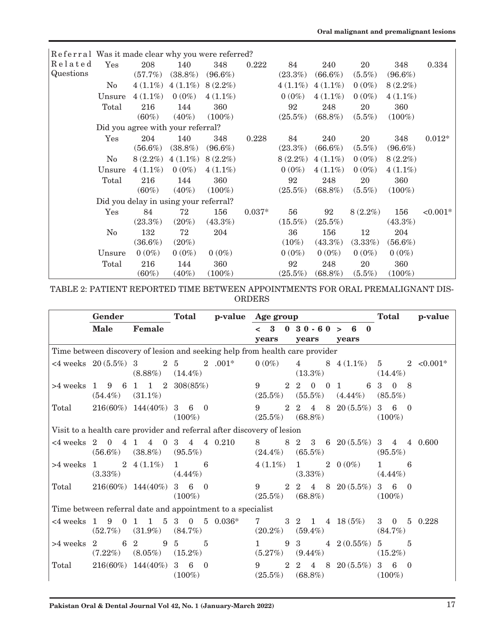|           | Referral Was it made clear why you were referred? |                                       |            |            |          |            |            |            |            |            |
|-----------|---------------------------------------------------|---------------------------------------|------------|------------|----------|------------|------------|------------|------------|------------|
| Related   | Yes                                               | 208                                   | 140        | 348        | 0.222    | 84         | 240        | 20         | 348        | 0.334      |
| Questions |                                                   | (57.7%)                               | $(38.8\%)$ | $(96.6\%)$ |          | $(23.3\%)$ | $(66.6\%)$ | $(5.5\%)$  | $(96.6\%)$ |            |
|           | N <sub>0</sub>                                    | $4(1.1\%)$                            | $4(1.1\%)$ | $8(2.2\%)$ |          | $4(1.1\%)$ | $4(1.1\%)$ | $0(0\%)$   | $8(2.2\%)$ |            |
|           | Unsure                                            | $4(1.1\%)$                            | $0(0\%)$   | $4(1.1\%)$ |          | $0(0\%)$   | $4(1.1\%)$ | $0(0\%)$   | $4(1.1\%)$ |            |
|           | Total                                             | 216                                   | 144        | 360        |          | 92         | 248        | 20         | 360        |            |
|           |                                                   | $(60\%)$                              | $(40\%)$   | $(100\%)$  |          | $(25.5\%)$ | $(68.8\%)$ | $(5.5\%)$  | $(100\%)$  |            |
|           |                                                   | Did you agree with your referral?     |            |            |          |            |            |            |            |            |
|           | Yes                                               | 204                                   | 140        | 348        | 0.228    | 84         | 240        | 20         | 348        | $0.012*$   |
|           |                                                   | $(56.6\%)$                            | $(38.8\%)$ | $(96.6\%)$ |          | $(23.3\%)$ | $(66.6\%)$ | $(5.5\%)$  | $(96.6\%)$ |            |
|           | N <sub>0</sub>                                    | $8(2.2\%)$                            | $4(1.1\%)$ | $8(2.2\%)$ |          | $8(2.2\%)$ | $4(1.1\%)$ | $0(0\%)$   | $8(2.2\%)$ |            |
|           | Unsure                                            | $4(1.1\%)$                            | $0(0\%)$   | $4(1.1\%)$ |          | $0(0\%)$   | $4(1.1\%)$ | $0(0\%)$   | $4(1.1\%)$ |            |
|           | Total                                             | 216                                   | 144        | 360        |          | 92         | 248        | 20         | 360        |            |
|           |                                                   | $(60\%)$                              | $(40\%)$   | $(100\%)$  |          | $(25.5\%)$ | $(68.8\%)$ | $(5.5\%)$  | $(100\%)$  |            |
|           |                                                   | Did you delay in using your referral? |            |            |          |            |            |            |            |            |
|           | Yes                                               | 84                                    | 72         | 156        | $0.037*$ | 56         | 92         | $8(2.2\%)$ | 156        | $< 0.001*$ |
|           |                                                   | $(23.3\%)$                            | $(20\%)$   | $(43.3\%)$ |          | $(15.5\%)$ | $(25.5\%)$ |            | $(43.3\%)$ |            |
|           | N <sub>0</sub>                                    | 132                                   | 72         | 204        |          | 36         | 156        | 12         | 204        |            |
|           |                                                   | $(36.6\%)$                            | $(20\%)$   |            |          | $(10\%)$   | $(43.3\%)$ | $(3.33\%)$ | $(56.6\%)$ |            |
|           | Unsure                                            | $0(0\%)$                              | $0(0\%)$   | $0(0\%)$   |          | $0(0\%)$   | $0(0\%)$   | $0(0\%)$   | $0(0\%)$   |            |
|           | Total                                             | 216                                   | 144        | 360        |          | 92         | 248        | 20         | 360        |            |
|           |                                                   | $(60\%)$                              | $(40\%)$   | $(100\%)$  |          | $(25.5\%)$ | $(68.8\%)$ | $(5.5\%)$  | $(100\%)$  |            |

TABLE 2: PATIENT REPORTED TIME BETWEEN APPOINTMENTS FOR ORAL PREMALIGNANT DIS-ORDERS

|                                                                        | Gender                |                                                |                                         |  | Total p-value Age group |                                                                                      |                            | Total                         | p-value         |
|------------------------------------------------------------------------|-----------------------|------------------------------------------------|-----------------------------------------|--|-------------------------|--------------------------------------------------------------------------------------|----------------------------|-------------------------------|-----------------|
|                                                                        | <b>Male</b>           | Female                                         |                                         |  |                         | $< 3 \quad 0 \quad 3 \quad 0 \quad -6 \quad 0 \quad > \quad 6 \quad 0$               |                            |                               |                 |
|                                                                        |                       |                                                |                                         |  | years                   | years<br>Time between discovery of lesion and seeking help from health care provider | years                      |                               |                 |
|                                                                        |                       |                                                | <4 weeks $20(5.5\%)$ 3 $2\ 5$ $2\ 001*$ |  | $0(0\%)$                | $4\degree$                                                                           | $8\quad 4\ (1.1\%)$        | $5^{\circ}$                   | $2 \leq 0.001*$ |
|                                                                        |                       | $(8.88\%)$ $(14.4\%)$                          |                                         |  |                         | $(13.3\%)$                                                                           |                            | $(14.4\%)$                    |                 |
|                                                                        |                       |                                                | $>4$ weeks 1 9 6 1 1 2 308(85%)         |  | 9<br>$2^{\circ}$        | 2<br>$\theta$<br>$\Omega$                                                            | $\overline{1}$             | 6 3<br>$0 \quad 8$            |                 |
|                                                                        | $(54.4\%)$ $(31.1\%)$ |                                                |                                         |  | $(25.5\%)$              | $(55.5\%)$ $(4.44\%)$                                                                |                            | $(85.5\%)$                    |                 |
| Total                                                                  |                       | $216(60\%)$ $144(40\%)$ 3 6 0                  |                                         |  | 9<br>2                  | 2 4 8 20 $(5.5\%)$                                                                   |                            | $3\quad 6\quad 0$             |                 |
|                                                                        |                       |                                                | $(100\%)$                               |  |                         | $(25.5\%)$ $(68.8\%)$                                                                |                            | $(100\%)$                     |                 |
| Visit to a health care provider and referral after discovery of lesion |                       |                                                |                                         |  |                         |                                                                                      |                            |                               |                 |
| $<4$ weeks $2\quad 0$                                                  |                       | $\overline{4}$<br>4 1                          | $0 \t3 \t4 \t4 \t0.210$                 |  |                         | 8 8 2 3 6 20 (5.5%) 3 4 4 0.600                                                      |                            |                               |                 |
|                                                                        | $(56.6\%)$            | $(38.8\%)$                                     | $(95.5\%)$                              |  | $(24.4\%)$              | $(65.5\%)$                                                                           |                            | $(95.5\%)$                    |                 |
|                                                                        |                       | $>4$ weeks 1 2 4 (1.1%) 1 6                    |                                         |  | $4(1.1\%)$              | 1 2 0 $(0\%)$                                                                        |                            | $1 \sim$<br>6                 |                 |
|                                                                        | (3.33%)               |                                                | $(4.44\%)$                              |  |                         | $(3.33\%)$                                                                           |                            | $(4.44\%)$                    |                 |
| Total                                                                  |                       | $216(60\%)$ $144(40\%)$ 3 6 0                  |                                         |  | 9                       | $2\quad 2\quad 4\quad 8\quad 20\, (5.5\%)\quad 3\quad 6\quad 0$                      |                            |                               |                 |
|                                                                        |                       |                                                | $(100\%)$                               |  | $(25.5\%)$              | $(68.8\%)$                                                                           |                            | $(100\%)$                     |                 |
| Time between referral date and appointment to a specialist             |                       |                                                |                                         |  |                         |                                                                                      |                            |                               |                 |
| <4 weeks 1                                                             | 9<br>$\Omega$         | 5 <sup>5</sup><br>$\mathbf{1}$<br>$\mathbf{1}$ | $3\quad 0\quad 5\quad 0.036*$           |  | $7$ and $7$             | $3\quad 2\quad 1\quad 4\quad 18\,(5\%)$                                              |                            | $3 \quad 0$<br>5 <sup>5</sup> | 0.228           |
|                                                                        | $(52.7\%)$            | $(31.9\%)$                                     | $(84.7\%)$                              |  | $(20.2\%)$              | $(59.4\%)$                                                                           |                            | $(84.7\%)$                    |                 |
| $>4$ weeks 2                                                           |                       | 6 2                                            | 9 5<br>$\overline{5}$                   |  | 9<br>$1 \quad$          | $3^{\circ}$                                                                          | $4\quad 2(0.55\%) \quad 5$ | $\overline{5}$                |                 |
|                                                                        |                       | $(7.22\%)$ $(8.05\%)$ $(15.2\%)$               |                                         |  | (5.27%)                 | $(9.44\%)$                                                                           |                            | $(15.2\%)$                    |                 |
| Total                                                                  |                       | $216(60\%)$ $144(40\%)$ 3 6                    | $\theta$                                |  | 9<br>2                  | 2 4 8 20 $(5.5\%)$ 3 6                                                               |                            | $\Omega$                      |                 |
|                                                                        |                       |                                                | $(100\%)$                               |  | $(25.5\%)$              | $(68.8\%)$                                                                           |                            | $(100\%)$                     |                 |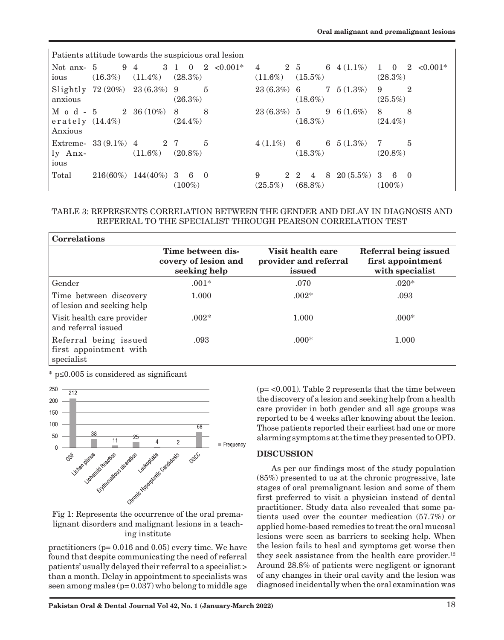| Patients attitude towards the suspicious oral lesion |                               |                         |                                                         |                              |                                          |                                                |
|------------------------------------------------------|-------------------------------|-------------------------|---------------------------------------------------------|------------------------------|------------------------------------------|------------------------------------------------|
| Not anx- 5<br>ious                                   | $(16.3\%)$                    | 9 4<br>$(11.4\%)$       | 3 1<br>$2 \leq 0.001^*$<br>$\overline{0}$<br>$(28.3\%)$ | $\overline{4}$<br>$(11.6\%)$ | 6 $4(1.1\%)$<br>2 5<br>$(15.5\%)$        | $1 \quad 0 \quad 2 \quad 0.001*$<br>$(28.3\%)$ |
| anxious                                              | Slightly 72 (20%) 23 (6.3%) 9 |                         | 5<br>$(26.3\%)$                                         | $23(6.3\%)$ 6                | $7\quad 5\ (1.3\%)$<br>$(18.6\%)$        | 9<br>$\overline{2}$<br>$(25.5\%)$              |
| $M$ o d - 5<br>Anxious                               | erately $(14.4\%)$            | 2 36 $(10\%)$           | 8<br>8<br>$(24.4\%)$                                    | $23(6.3\%)$ 5                | 9 6 $(1.6\%)$<br>$(16.3\%)$              | 8<br>8<br>$(24.4\%)$                           |
| ly Anx-<br>ious                                      | Extreme- $33(9.1\%)$ 4        | 2 7<br>$(11.6\%)$       | $\overline{5}$<br>$(20.8\%)$                            | $4(1.1\%)$                   | 6 $5(1.3\%)$<br>6<br>$(18.3\%)$          | $\overline{5}$<br>-7<br>$(20.8\%)$             |
| Total                                                |                               | $216(60\%)$ $144(40\%)$ | 3<br>- 6<br>$\theta$<br>$(100\%)$                       | 9<br>$(25.5\%)$              | 8<br>2 2<br>$\overline{4}$<br>$(68.8\%)$ | $20(5.5\%)$ 3 6 0<br>$(100\%)$                 |

### TABLE 3: REPRESENTS CORRELATION BETWEEN THE GENDER AND DELAY IN DIAGNOSIS AND REFERRAL TO THE SPECIALIST THROUGH PEARSON CORRELATION TEST

| <b>Correlations</b>                                           |                                                           |                                                      |                                                               |
|---------------------------------------------------------------|-----------------------------------------------------------|------------------------------------------------------|---------------------------------------------------------------|
|                                                               | Time between dis-<br>covery of lesion and<br>seeking help | Visit health care<br>provider and referral<br>issued | Referral being issued<br>first appointment<br>with specialist |
| Gender                                                        | $.001*$                                                   | .070                                                 | $.020*$                                                       |
| Time between discovery<br>of lesion and seeking help          | 1.000                                                     | $.002*$                                              | .093                                                          |
| Visit health care provider<br>and referral issued             | $.002*$                                                   | 1.000                                                | $.000*$                                                       |
| Referral being issued<br>first appointment with<br>specialist | .093                                                      | $.000*$                                              | 1.000                                                         |

\* p≤0.005 is considered as significant



lignant disorders and malignant lesions in a teaching institute

practitioners (p= 0.016 and 0.05) every time. We have found that despite communicating the need of referral patients' usually delayed their referral to a specialist > than a month. Delay in appointment to specialists was seen among males  $(p= 0.037)$  who belong to middle age (p= <0.001). Table 2 represents that the time between the discovery of a lesion and seeking help from a health care provider in both gender and all age groups was reported to be 4 weeks after knowing about the lesion. Those patients reported their earliest had one or more alarming symptoms at the time they presented to OPD.

# **DISCUSSION**

As per our findings most of the study population (85%) presented to us at the chronic progressive, late stages of oral premalignant lesion and some of them first preferred to visit a physician instead of dental practitioner. Study data also revealed that some patients used over the counter medication (57.7%) or applied home-based remedies to treat the oral mucosal lesions were seen as barriers to seeking help. When the lesion fails to heal and symptoms get worse then they seek assistance from the health care provider. $12$ Around 28.8% of patients were negligent or ignorant of any changes in their oral cavity and the lesion was diagnosed incidentally when the oral examination was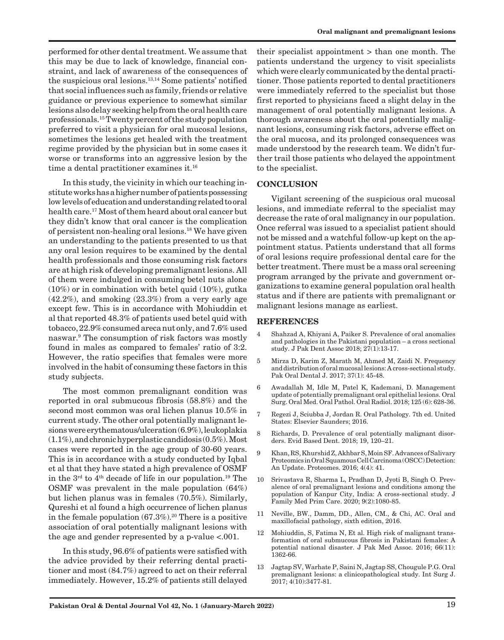performed for other dental treatment. We assume that this may be due to lack of knowledge, financial constraint, and lack of awareness of the consequences of the suspicious oral lesions.13,14 Some patients' notified that social influences such as family, friends or relative guidance or previous experience to somewhat similar lesions also delay seeking help from the oral health care professionals.15 Twenty percent of the study population preferred to visit a physician for oral mucosal lesions, sometimes the lesions get healed with the treatment regime provided by the physician but in some cases it worse or transforms into an aggressive lesion by the time a dental practitioner examines it.16

In this study, the vicinity in which our teaching institute works has a higher number of patients possessing low levels of education and understanding related to oral health care.17 Most of them heard about oral cancer but they didn't know that oral cancer is the complication of persistent non-healing oral lesions.18 We have given an understanding to the patients presented to us that any oral lesion requires to be examined by the dental health professionals and those consuming risk factors are at high risk of developing premalignant lesions. All of them were indulged in consuming betel nuts alone (10%) or in combination with betel quid (10%), gutka  $(42.2\%)$ , and smoking  $(23.3\%)$  from a very early age except few. This is in accordance with Mohiuddin et al that reported 48.3% of patients used betel quid with tobacco, 22.9% consumed areca nut only, and 7.6% used naswar.9 The consumption of risk factors was mostly found in males as compared to females' ratio of 3:2. However, the ratio specifies that females were more involved in the habit of consuming these factors in this study subjects.

The most common premalignant condition was reported in oral submucous fibrosis (58.8%) and the second most common was oral lichen planus 10.5% in current study. The other oral potentially malignant lesions were erythematous/ulceration (6.9%), leukoplakia (1.1%), and chronic hyperplastic candidosis (0.5%). Most cases were reported in the age group of 30-60 years. This is in accordance with a study conducted by Iqbal et al that they have stated a high prevalence of OSMF in the  $3<sup>rd</sup>$  to  $4<sup>th</sup>$  decade of life in our population.<sup>19</sup> The OSMF was prevalent in the male population (64%) but lichen planus was in females (70.5%). Similarly, Qureshi et al found a high occurrence of lichen planus in the female population  $(67.3\%)$ <sup>20</sup> There is a positive association of oral potentially malignant lesions with the age and gender represented by a p-value <.001.

In this study, 96.6% of patients were satisfied with the advice provided by their referring dental practitioner and most (84.7%) agreed to act on their referral immediately. However, 15.2% of patients still delayed

their specialist appointment > than one month. The patients understand the urgency to visit specialists which were clearly communicated by the dental practitioner. Those patients reported to dental practitioners were immediately referred to the specialist but those first reported to physicians faced a slight delay in the management of oral potentially malignant lesions. A thorough awareness about the oral potentially malignant lesions, consuming risk factors, adverse effect on the oral mucosa, and its prolonged consequences was made understood by the research team. We didn't further trail those patients who delayed the appointment to the specialist.

### **CONCLUSION**

Vigilant screening of the suspicious oral mucosal lesions, and immediate referral to the specialist may decrease the rate of oral malignancy in our population. Once referral was issued to a specialist patient should not be missed and a watchful follow-up kept on the appointment status. Patients understand that all forms of oral lesions require professional dental care for the better treatment. There must be a mass oral screening program arranged by the private and government organizations to examine general population oral health status and if there are patients with premalignant or malignant lesions manage as earliest.

#### **REFERENCES**

- 4 Shahzad A, Khiyani A, Paiker S. Prevalence of oral anomalies and pathologies in the Pakistani population – a cross sectional study. J Pak Dent Assoc 2018; 27(1):13-17.
- 5 Mirza D, Karim Z, Marath M, Ahmed M, Zaidi N. Frequency and distribution of oral mucosal lesions: A cross-sectional study. Pak Oral Dental J. 2017; 37(1): 45-48.
- 6 Awadallah M, Idle M, Patel K, Kademani, D. Management update of potentially premalignant oral epithelial lesions. Oral Surg. Oral Med. Oral Pathol. Oral Radiol. 2018; 125 (6): 628-36.
- 7 Regezi J, Sciubba J, Jordan R. Oral Pathology. 7th ed. United States: Elsevier Saunders; 2016.
- 8 Richards, D. Prevalence of oral potentially malignant disorders. Evid Based Dent. 2018; 19, 120–21.
- 9 Khan, RS, Khurshid Z, Akhbar S, Moin SF.Advances of Salivary Proteomics in Oral Squamous Cell Carcinoma (OSCC) Detection: An Update. Proteomes. 2016; 4(4): 41.
- 10 Srivastava R, Sharma L, Pradhan D, Jyoti B, Singh O. Prevalence of oral premalignant lesions and conditions among the population of Kanpur City, India: A cross-sectional study. J Family Med Prim Care. 2020; 9(2):1080-85.
- 11 Neville, BW., Damm, DD., Allen, CM., & Chi, AC. Oral and maxillofacial pathology, sixth edition, 2016.
- 12 Mohiuddin, S, Fatima N, Et al. High risk of malignant transformation of oral submucous fibrosis in Pakistani females: A potential national disaster. J Pak Med Assoc. 2016; 66(11): 1362-66.
- 13 Jagtap SV, Warhate P, Saini N, Jagtap SS, Chougule P.G. Oral premalignant lesions: a clinicopathological study. Int Surg J. 2017; 4(10):3477-81.